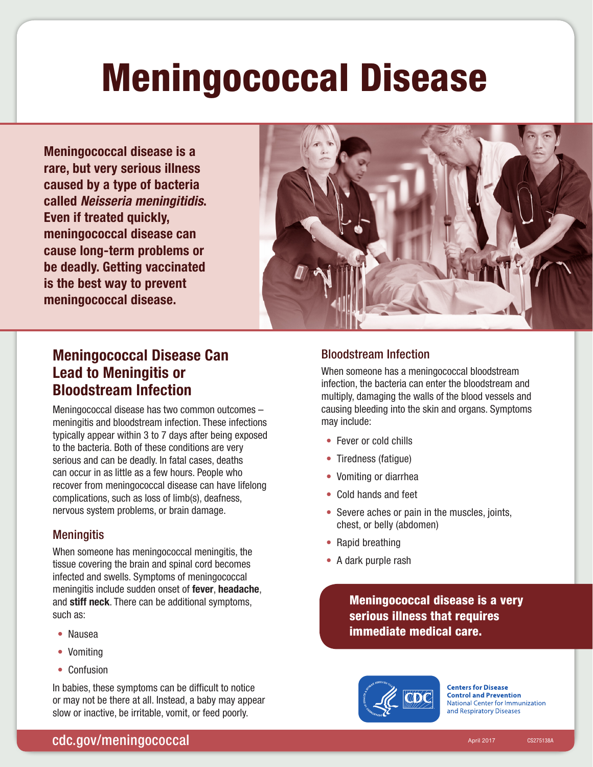# Meningococcal Disease

Meningococcal disease is a rare, but very serious illness caused by a type of bacteria called *Neisseria meningitidis*. Even if treated quickly, meningococcal disease can cause long-term problems or be deadly. Getting vaccinated is the best way to prevent meningococcal disease.



## Meningococcal Disease Can Lead to Meningitis or Bloodstream Infection

Meningococcal disease has two common outcomes – meningitis and bloodstream infection. These infections typically appear within 3 to 7 days after being exposed to the bacteria. Both of these conditions are very serious and can be deadly. In fatal cases, deaths can occur in as little as a few hours. People who recover from meningococcal disease can have lifelong complications, such as loss of limb(s), deafness, nervous system problems, or brain damage.

#### **Meningitis**

When someone has meningococcal meningitis, the tissue covering the brain and spinal cord becomes infected and swells. Symptoms of meningococcal meningitis include sudden onset of fever, headache, and stiff neck. There can be additional symptoms, such as:

- Nausea
- Vomiting
- Confusion

In babies, these symptoms can be difficult to notice or may not be there at all. Instead, a baby may appear slow or inactive, be irritable, vomit, or feed poorly.

#### Bloodstream Infection

When someone has a meningococcal bloodstream infection, the bacteria can enter the bloodstream and multiply, damaging the walls of the blood vessels and causing bleeding into the skin and organs. Symptoms may include:

- Fever or cold chills
- Tiredness (fatique)
- Vomiting or diarrhea
- Cold hands and feet
- Severe aches or pain in the muscles, joints, chest, or belly (abdomen)
- Rapid breathing
- A dark purple rash

Meningococcal disease is a very serious illness that requires immediate medical care.



**Centers for Disease Control and Prevention National Center for Immunization** and Respiratory Diseases

CS275138A